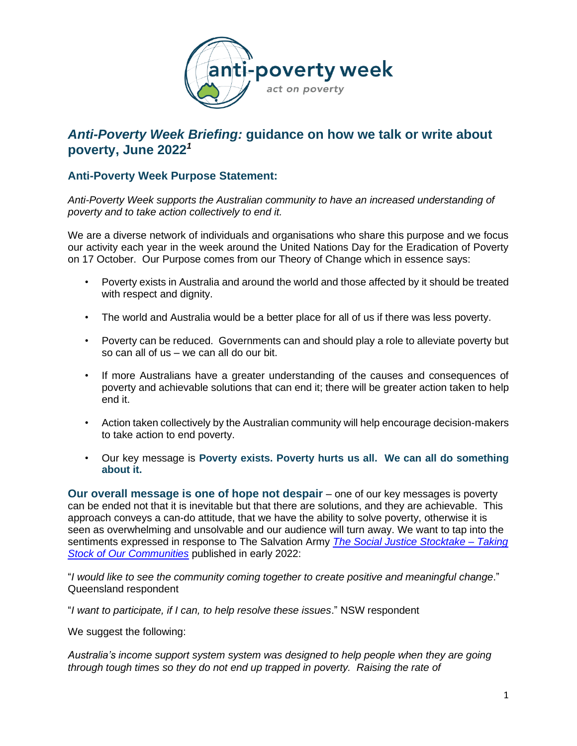

# *Anti-Poverty Week Briefing:* **guidance on how we talk or write about poverty, June 2022***<sup>1</sup>*

# **Anti-Poverty Week Purpose Statement:**

*Anti-Poverty Week supports the Australian community to have an increased understanding of poverty and to take action collectively to end it.*

We are a diverse network of individuals and organisations who share this purpose and we focus our activity each year in the week around the United Nations Day for the Eradication of Poverty on 17 October. Our Purpose comes from our Theory of Change which in essence says:

- Poverty exists in Australia and around the world and those affected by it should be treated with respect and dignity.
- The world and Australia would be a better place for all of us if there was less poverty.
- Poverty can be reduced. Governments can and should play a role to alleviate poverty but so can all of us – we can all do our bit.
- If more Australians have a greater understanding of the causes and consequences of poverty and achievable solutions that can end it; there will be greater action taken to help end it.
- Action taken collectively by the Australian community will help encourage decision-makers to take action to end poverty.
- Our key message is **Poverty exists. Poverty hurts us all. We can all do something about it.**

**Our overall message is one of hope not despair** – one of our key messages is poverty can be ended not that it is inevitable but that there are solutions, and they are achievable. This approach conveys a can-do attitude, that we have the ability to solve poverty, otherwise it is seen as overwhelming and unsolvable and our audience will turn away. We want to tap into the sentiments expressed in response to The Salvation Army *[The Social Justice Stocktake](https://www.salvationarmy.org.au/socialjusticestocktake/) – Taking [Stock of Our Communities](https://www.salvationarmy.org.au/socialjusticestocktake/)* published in early 2022:

"*I would like to see the community coming together to create positive and meaningful change*." Queensland respondent

"*I want to participate, if I can, to help resolve these issues*." NSW respondent

We suggest the following:

*Australia's income support system system was designed to help people when they are going through tough times so they do not end up trapped in poverty. Raising the rate of*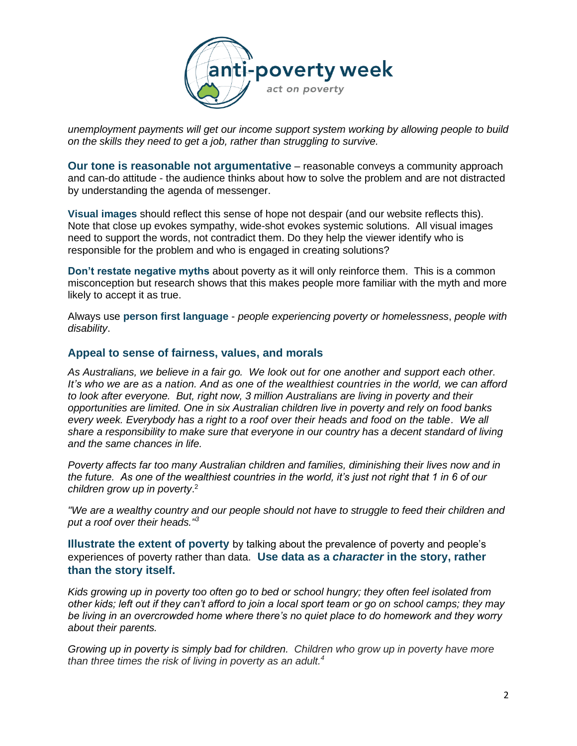

*unemployment payments will get our income support system working by allowing people to build on the skills they need to get a job, rather than struggling to survive.*

**Our tone is reasonable not argumentative** – reasonable conveys a community approach and can-do attitude - the audience thinks about how to solve the problem and are not distracted by understanding the agenda of messenger.

**Visual images** should reflect this sense of hope not despair (and our website reflects this). Note that close up evokes sympathy, wide-shot evokes systemic solutions. All visual images need to support the words, not contradict them. Do they help the viewer identify who is responsible for the problem and who is engaged in creating solutions?

**Don't restate negative myths** about poverty as it will only reinforce them. This is a common misconception but research shows that this makes people more familiar with the myth and more likely to accept it as true.

Always use **person first language** - *people experiencing poverty or homelessness*, *people with disability*.

#### **Appeal to sense of fairness, values, and morals**

*As Australians, we believe in a fair go. We look out for one another and support each other. It's who we are as a nation. And as one of the wealthiest countries in the world, we can afford to look after everyone. But, right now, 3 million Australians are living in poverty and their opportunities are limited. One in six Australian children live in poverty and rely on food banks every week. Everybody has a right to a roof over their heads and food on the table. We all share a responsibility to make sure that everyone in our country has a decent standard of living and the same chances in life.* 

*Poverty affects far too many Australian children and families, diminishing their lives now and in the future. As one of the wealthiest countries in the world, it's just not right that 1 in 6 of our children grow up in poverty*. 2

*"We are a wealthy country and our people should not have to struggle to feed their children and put a roof over their heads."<sup>3</sup>*

**Illustrate the extent of poverty** by talking about the prevalence of poverty and people's experiences of poverty rather than data. **Use data as a** *character* **in the story, rather than the story itself.**

*Kids growing up in poverty too often go to bed or school hungry; they often feel isolated from other kids; left out if they can't afford to join a local sport team or go on school camps; they may be living in an overcrowded home where there's no quiet place to do homework and they worry about their parents.*

*Growing up in poverty is simply bad for children. Children who grow up in poverty have more than three times the risk of living in poverty as an adult. 4*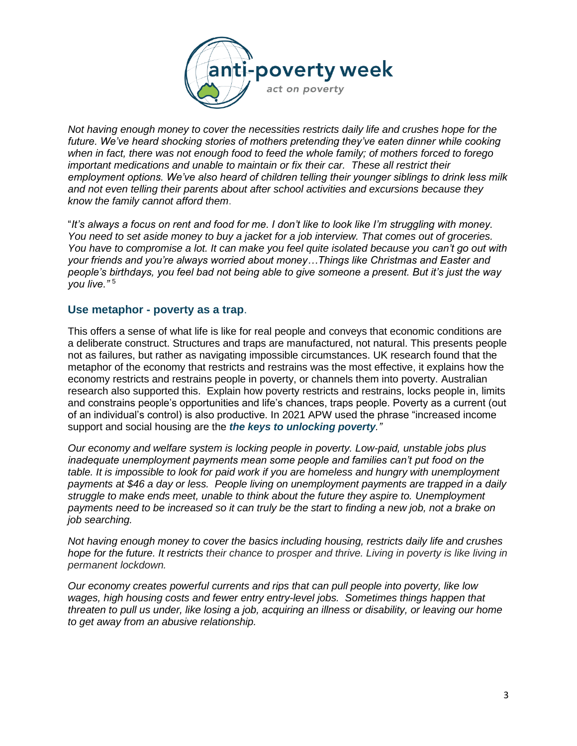

*Not having enough money to cover the necessities restricts daily life and crushes hope for the future. We've heard shocking stories of mothers pretending they've eaten dinner while cooking when in fact, there was not enough food to feed the whole family; of mothers forced to forego important medications and unable to maintain or fix their car. These all restrict their employment options. We've also heard of children telling their younger siblings to drink less milk and not even telling their parents about after school activities and excursions because they know the family cannot afford them*.

"*It's always a focus on rent and food for me. I don't like to look like I'm struggling with money. You need to set aside money to buy a jacket for a job interview. That comes out of groceries. You have to compromise a lot. It can make you feel quite isolated because you can't go out with your friends and you're always worried about money…Things like Christmas and Easter and people's birthdays, you feel bad not being able to give someone a present. But it's just the way you live."* <sup>5</sup>

#### **Use metaphor - poverty as a trap**.

This offers a sense of what life is like for real people and conveys that economic conditions are a deliberate construct. Structures and traps are manufactured, not natural. This presents people not as failures, but rather as navigating impossible circumstances. UK research found that the metaphor of the economy that restricts and restrains was the most effective, it explains how the economy restricts and restrains people in poverty, or channels them into poverty. Australian research also supported this. Explain how poverty restricts and restrains, locks people in, limits and constrains people's opportunities and life's chances, traps people. Poverty as a current (out of an individual's control) is also productive. In 2021 APW used the phrase "increased income support and social housing are the *the keys to unlocking poverty."*

*Our economy and welfare system is locking people in poverty. Low-paid, unstable jobs plus inadequate unemployment payments mean some people and families can't put food on the table. It is impossible to look for paid work if you are homeless and hungry with unemployment payments at \$46 a day or less. People living on unemployment payments are trapped in a daily struggle to make ends meet, unable to think about the future they aspire to. Unemployment payments need to be increased so it can truly be the start to finding a new job, not a brake on job searching.*

*Not having enough money to cover the basics including housing, restricts daily life and crushes hope for the future. It restricts their chance to prosper and thrive. Living in poverty is like living in permanent lockdown.*

*Our economy creates powerful currents and rips that can pull people into poverty, like low wages, high housing costs and fewer entry entry-level jobs. Sometimes things happen that threaten to pull us under, like losing a job, acquiring an illness or disability, or leaving our home to get away from an abusive relationship.*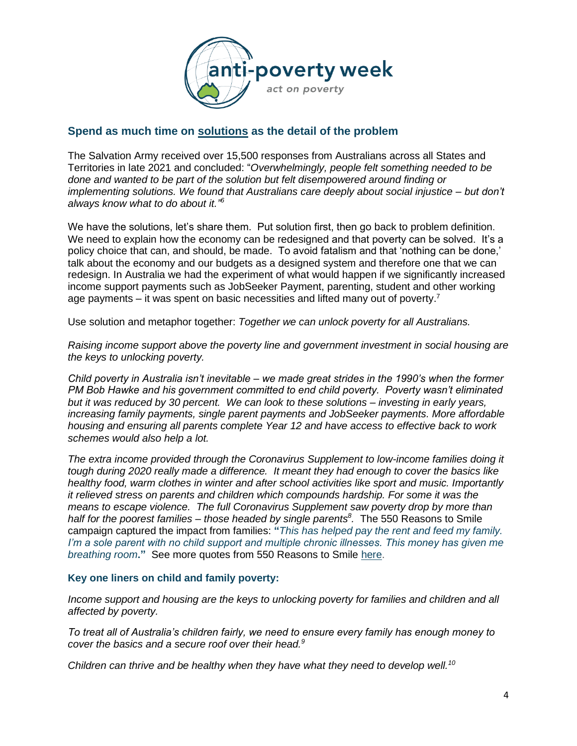

# **Spend as much time on solutions as the detail of the problem**

The Salvation Army received over 15,500 responses from Australians across all States and Territories in late 2021 and concluded: "*Overwhelmingly, people felt something needed to be done and wanted to be part of the solution but felt disempowered around finding or implementing solutions. We found that Australians care deeply about social injustice – but don't always know what to do about it." 6*

We have the solutions, let's share them. Put solution first, then go back to problem definition. We need to explain how the economy can be redesigned and that poverty can be solved. It's a policy choice that can, and should, be made. To avoid fatalism and that 'nothing can be done,' talk about the economy and our budgets as a designed system and therefore one that we can redesign. In Australia we had the experiment of what would happen if we significantly increased income support payments such as JobSeeker Payment, parenting, student and other working age payments – it was spent on basic necessities and lifted many out of poverty.<sup>7</sup>

Use solution and metaphor together: *Together we can unlock poverty for all Australians.*

*Raising income support above the poverty line and government investment in social housing are the keys to unlocking poverty.* 

*Child poverty in Australia isn't inevitable – we made great strides in the 1990's when the former PM Bob Hawke and his government committed to end child poverty. Poverty wasn't eliminated but it was reduced by 30 percent. We can look to these solutions – investing in early years, increasing family payments, single parent payments and JobSeeker payments. More affordable housing and ensuring all parents complete Year 12 and have access to effective back to work schemes would also help a lot.*

*The extra income provided through the Coronavirus Supplement to low-income families doing it tough during 2020 really made a difference. It meant they had enough to cover the basics like healthy food, warm clothes in winter and after school activities like sport and music. Importantly it relieved stress on parents and children which compounds hardship. For some it was the means to escape violence. The full Coronavirus Supplement saw poverty drop by more than half for the poorest families – those headed by single parents<sup>8</sup> .* The 550 Reasons to Smile campaign captured the impact from families: **"***This has helped pay the rent and feed my family. I'm a sole parent with no child support and multiple chronic illnesses. This money has given me breathing room***."** See more quotes from 550 Reasons to Smile [here.](https://antipovertyweek.org.au/wp-content/uploads/2021/08/Select-quotes-550-Reasons-2021-from-single-parents.pdf)

#### **Key one liners on child and family poverty:**

*Income support and housing are the keys to unlocking poverty for families and children and all affected by poverty.*

*To treat all of Australia's children fairly, we need to ensure every family has enough money to cover the basics and a secure roof over their head.<sup>9</sup>*

*Children can thrive and be healthy when they have what they need to develop well.<sup>10</sup>*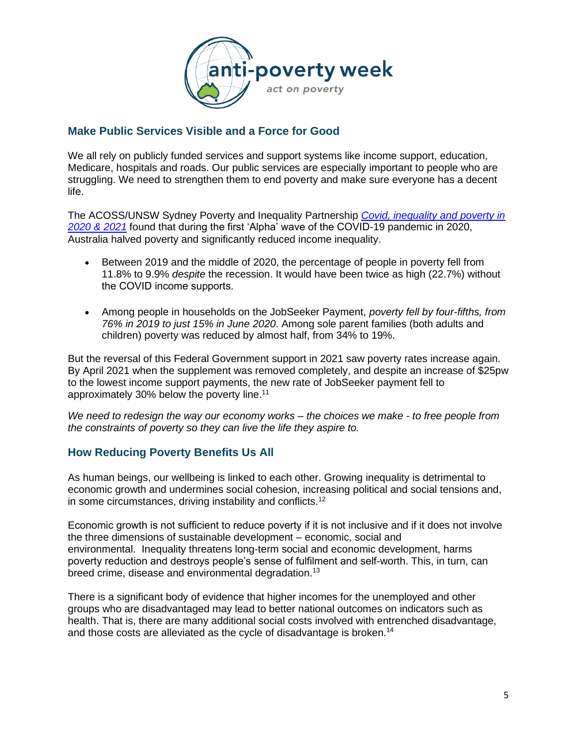

# **Make Public Services Visible and a Force for Good**

We all rely on publicly funded services and support systems like income support, education, Medicare, hospitals and roads. Our public services are especially important to people who are struggling. We need to strengthen them to end poverty and make sure everyone has a decent life.

The ACOSS/UNSW Sydney Poverty and Inequality Partnership *[Covid, inequality and poverty in](https://povertyandinequality.acoss.org.au/covid-inequality-and-poverty-in-2020-and-2021/)  [2020 & 2021](https://povertyandinequality.acoss.org.au/covid-inequality-and-poverty-in-2020-and-2021/)* found that during the first 'Alpha' wave of the COVID-19 pandemic in 2020, Australia halved poverty and significantly reduced income inequality.

- Between 2019 and the middle of 2020, the percentage of people in poverty fell from 11.8% to 9.9% *despite* the recession. It would have been twice as high (22.7%) without the COVID income supports.
- Among people in households on the JobSeeker Payment, *poverty fell by four-fifths, from 76% in 2019 to just 15% in June 2020*. Among sole parent families (both adults and children) poverty was reduced by almost half, from 34% to 19%.

But the reversal of this Federal Government support in 2021 saw poverty rates increase again. By April 2021 when the supplement was removed completely, and despite an increase of \$25pw to the lowest income support payments, the new rate of JobSeeker payment fell to approximately 30% below the poverty line.<sup>11</sup>

*We need to redesign the way our economy works – the choices we make - to free people from the constraints of poverty so they can live the life they aspire to.*

### **How Reducing Poverty Benefits Us All**

As human beings, our wellbeing is linked to each other. Growing inequality is detrimental to economic growth and undermines social cohesion, increasing political and social tensions and, in some circumstances, driving instability and conflicts.<sup>12</sup>

Economic growth is not sufficient to reduce poverty if it is not inclusive and if it does not involve the three dimensions of sustainable development – economic, social and environmental. Inequality threatens long-term social and economic development, harms poverty reduction and destroys people's sense of fulfilment and self-worth. This, in turn, can breed crime, disease and environmental degradation.<sup>13</sup>

There is a significant body of evidence that higher incomes for the unemployed and other groups who are disadvantaged may lead to better national outcomes on indicators such as health. That is, there are many additional social costs involved with entrenched disadvantage, and those costs are alleviated as the cycle of disadvantage is broken.<sup>14</sup>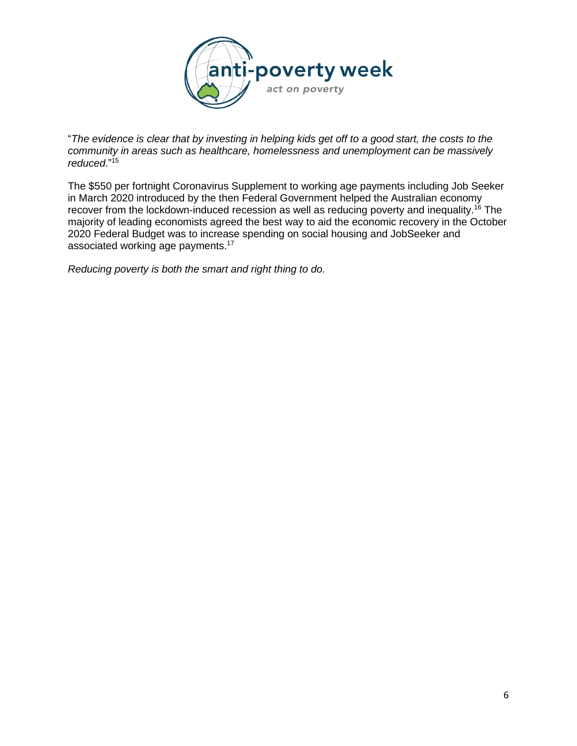

"*The evidence is clear that by investing in helping kids get off to a good start, the costs to the community in areas such as healthcare, homelessness and unemployment can be massively reduced*."<sup>15</sup>

The \$550 per fortnight Coronavirus Supplement to working age payments including Job Seeker in March 2020 introduced by the then Federal Government helped the Australian economy recover from the lockdown-induced recession as well as reducing poverty and inequality.<sup>16</sup> The majority of leading economists agreed the best way to aid the economic recovery in the October 2020 Federal Budget was to increase spending on social housing and JobSeeker and associated working age payments.<sup>17</sup>

*Reducing poverty is both the smart and right thing to do.*